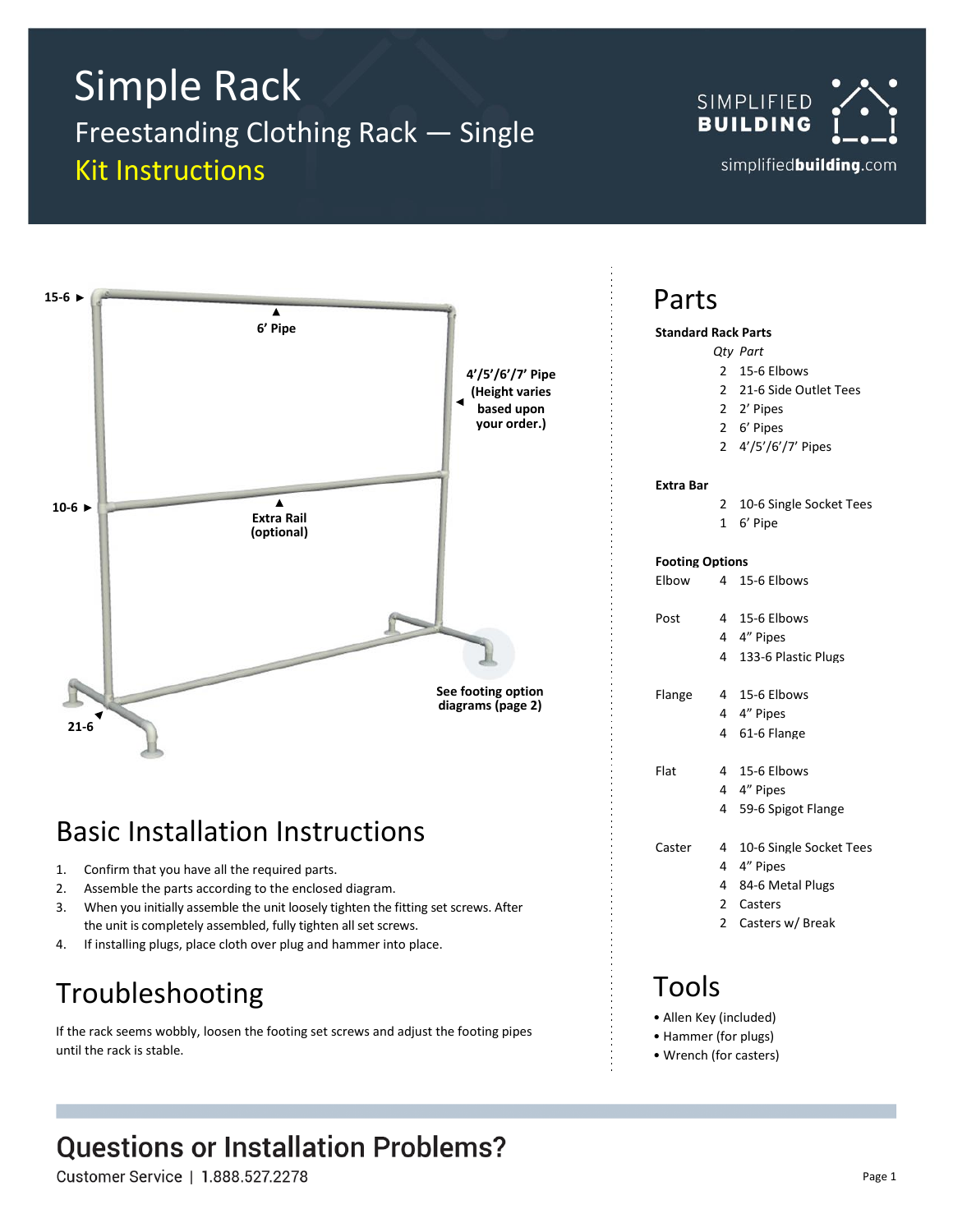# Simple Rack Freestanding Clothing Rack — Single Kit Instructions





# Basic Installation Instructions

- 1. Confirm that you have all the required parts.
- 2. Assemble the parts according to the enclosed diagram.
- 3. When you initially assemble the unit loosely tighten the fitting set screws. After the unit is completely assembled, fully tighten all set screws.
- 4. If installing plugs, place cloth over plug and hammer into place.

# Troubleshooting

If the rack seems wobbly, loosen the footing set screws and adjust the footing pipes until the rack is stable.

# **Questions or Installation Problems?**

Customer Service | 1.888.527.2278

### Parts

#### **Standard Rack Parts**

- *Qty Part*
	- 2 15-6 Elbows
	- 2 21-6 Side Outlet Tees
	- 2 2' Pipes
	- 2 6' Pipes
	- 2 4'/5'/6'/7' Pipes

#### **Extra Bar**

- 2 10-6 Single Socket Tees
- 1 6' Pipe

#### **Footing Options**

Elbow 4 15-6 Elbows

| Post |  | 4 15-6 Elbows |
|------|--|---------------|
|      |  |               |

|  | 4" Pipes |
|--|----------|
|--|----------|

4 133-6 Plastic Plugs

Flange 4 15-6 Elbows

- 4 4" Pipes
	- 4 61-6 Flange
- Flat 4 15-6 Elbows
	- 4 4" Pipes
		- 4 59-6 Spigot Flange

Caster 4 10-6 Single Socket Tees

- 4 4" Pipes
	- 4 84-6 Metal Plugs
- 2 Casters
- 2 Casters w/ Break

### Tools

- Allen Key (included)
- Hammer (for plugs)
- Wrench (for casters)